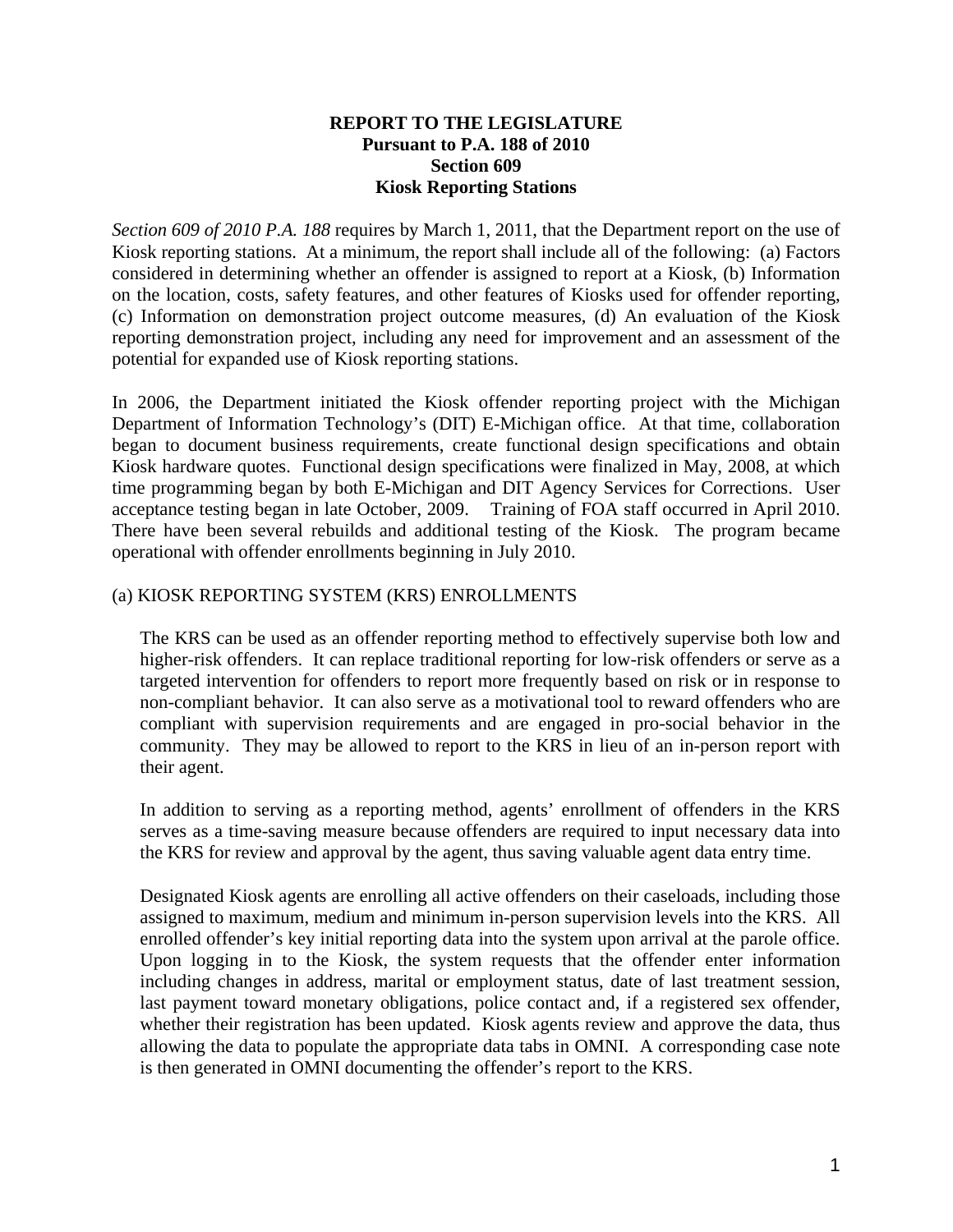## **REPORT TO THE LEGISLATURE Pursuant to P.A. 188 of 2010 Section 609 Kiosk Reporting Stations**

*Section 609 of 2010 P.A. 188* requires by March 1, 2011, that the Department report on the use of Kiosk reporting stations. At a minimum, the report shall include all of the following: (a) Factors considered in determining whether an offender is assigned to report at a Kiosk, (b) Information on the location, costs, safety features, and other features of Kiosks used for offender reporting, (c) Information on demonstration project outcome measures, (d) An evaluation of the Kiosk reporting demonstration project, including any need for improvement and an assessment of the potential for expanded use of Kiosk reporting stations.

In 2006, the Department initiated the Kiosk offender reporting project with the Michigan Department of Information Technology's (DIT) E-Michigan office. At that time, collaboration began to document business requirements, create functional design specifications and obtain Kiosk hardware quotes. Functional design specifications were finalized in May, 2008, at which time programming began by both E-Michigan and DIT Agency Services for Corrections. User acceptance testing began in late October, 2009. Training of FOA staff occurred in April 2010. There have been several rebuilds and additional testing of the Kiosk. The program became operational with offender enrollments beginning in July 2010.

## (a) KIOSK REPORTING SYSTEM (KRS) ENROLLMENTS

The KRS can be used as an offender reporting method to effectively supervise both low and higher-risk offenders. It can replace traditional reporting for low-risk offenders or serve as a targeted intervention for offenders to report more frequently based on risk or in response to non-compliant behavior. It can also serve as a motivational tool to reward offenders who are compliant with supervision requirements and are engaged in pro-social behavior in the community. They may be allowed to report to the KRS in lieu of an in-person report with their agent.

In addition to serving as a reporting method, agents' enrollment of offenders in the KRS serves as a time-saving measure because offenders are required to input necessary data into the KRS for review and approval by the agent, thus saving valuable agent data entry time.

Designated Kiosk agents are enrolling all active offenders on their caseloads, including those assigned to maximum, medium and minimum in-person supervision levels into the KRS. All enrolled offender's key initial reporting data into the system upon arrival at the parole office. Upon logging in to the Kiosk, the system requests that the offender enter information including changes in address, marital or employment status, date of last treatment session, last payment toward monetary obligations, police contact and, if a registered sex offender, whether their registration has been updated. Kiosk agents review and approve the data, thus allowing the data to populate the appropriate data tabs in OMNI. A corresponding case note is then generated in OMNI documenting the offender's report to the KRS.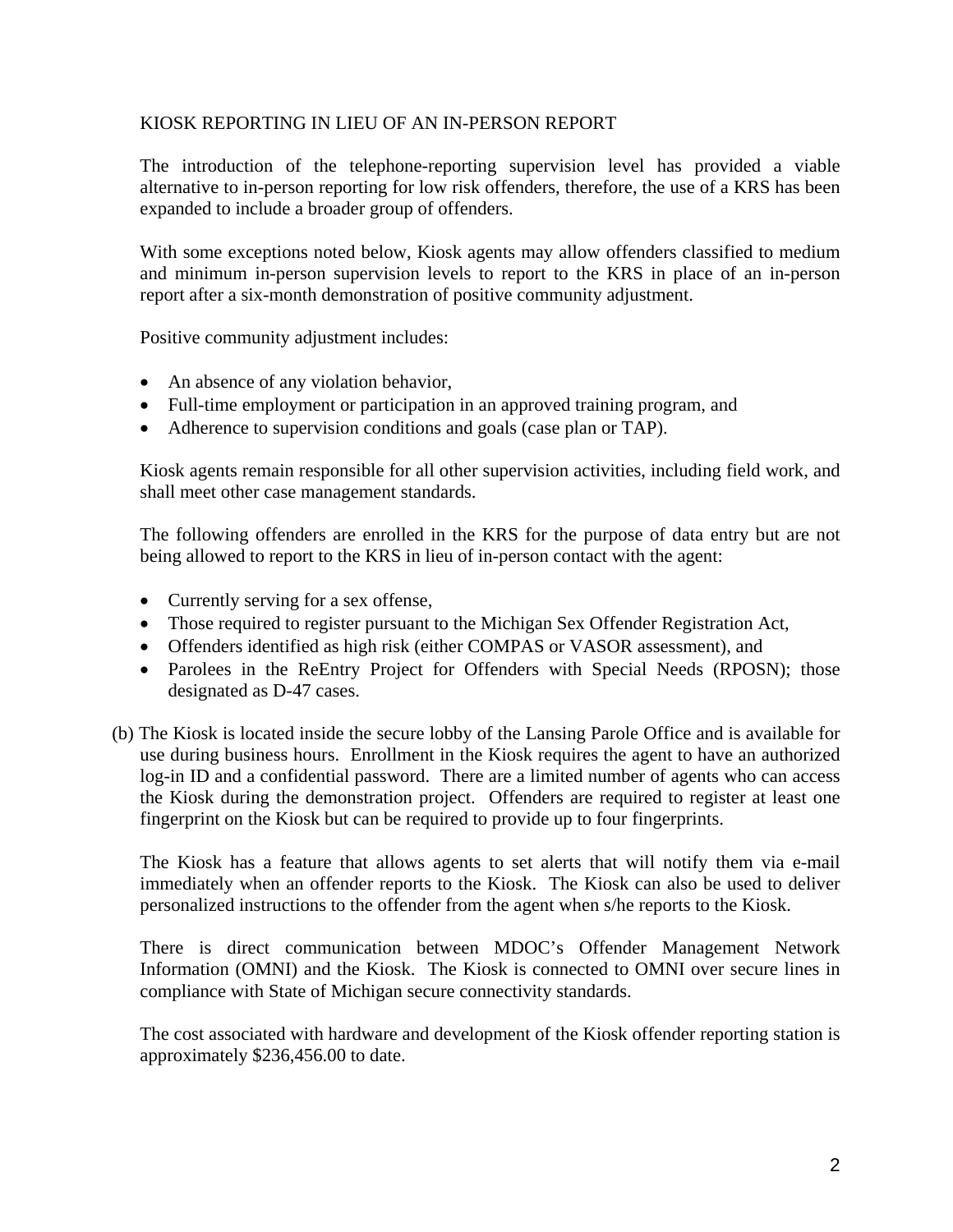## KIOSK REPORTING IN LIEU OF AN IN-PERSON REPORT

The introduction of the telephone-reporting supervision level has provided a viable alternative to in-person reporting for low risk offenders, therefore, the use of a KRS has been expanded to include a broader group of offenders.

With some exceptions noted below, Kiosk agents may allow offenders classified to medium and minimum in-person supervision levels to report to the KRS in place of an in-person report after a six-month demonstration of positive community adjustment.

Positive community adjustment includes:

- An absence of any violation behavior,
- Full-time employment or participation in an approved training program, and
- Adherence to supervision conditions and goals (case plan or TAP).

Kiosk agents remain responsible for all other supervision activities, including field work, and shall meet other case management standards.

The following offenders are enrolled in the KRS for the purpose of data entry but are not being allowed to report to the KRS in lieu of in-person contact with the agent:

- Currently serving for a sex offense,
- Those required to register pursuant to the Michigan Sex Offender Registration Act,
- Offenders identified as high risk (either COMPAS or VASOR assessment), and
- Parolees in the ReEntry Project for Offenders with Special Needs (RPOSN); those designated as D-47 cases.
- (b) The Kiosk is located inside the secure lobby of the Lansing Parole Office and is available for use during business hours. Enrollment in the Kiosk requires the agent to have an authorized log-in ID and a confidential password. There are a limited number of agents who can access the Kiosk during the demonstration project. Offenders are required to register at least one fingerprint on the Kiosk but can be required to provide up to four fingerprints.

The Kiosk has a feature that allows agents to set alerts that will notify them via e-mail immediately when an offender reports to the Kiosk. The Kiosk can also be used to deliver personalized instructions to the offender from the agent when s/he reports to the Kiosk.

There is direct communication between MDOC's Offender Management Network Information (OMNI) and the Kiosk. The Kiosk is connected to OMNI over secure lines in compliance with State of Michigan secure connectivity standards.

The cost associated with hardware and development of the Kiosk offender reporting station is approximately \$236,456.00 to date.